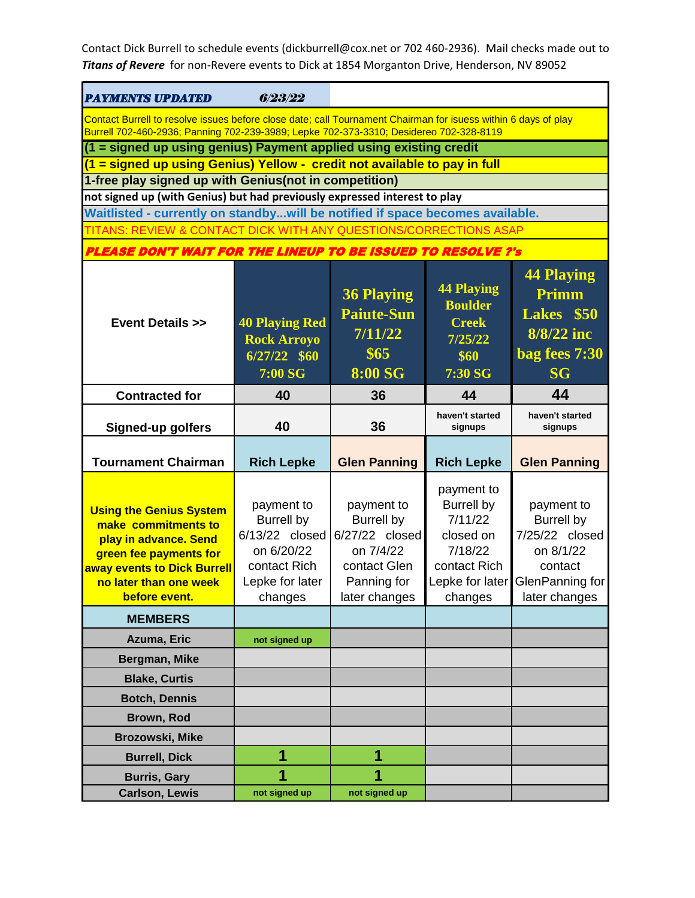| <b>PAYMENTS UPDATED</b>                                                                                                                                                            | 6/23/22                                                                                                       |                                                                                                                |                                                                                                                  |                                                                                                               |
|------------------------------------------------------------------------------------------------------------------------------------------------------------------------------------|---------------------------------------------------------------------------------------------------------------|----------------------------------------------------------------------------------------------------------------|------------------------------------------------------------------------------------------------------------------|---------------------------------------------------------------------------------------------------------------|
| Contact Burrell to resolve issues before close date; call Tournament Chairman for isuess within 6 days of play                                                                     |                                                                                                               |                                                                                                                |                                                                                                                  |                                                                                                               |
| Burrell 702-460-2936; Panning 702-239-3989; Lepke 702-373-3310; Desidereo 702-328-8119<br>(1 = signed up using genius) Payment applied using existing credit                       |                                                                                                               |                                                                                                                |                                                                                                                  |                                                                                                               |
| (1 = signed up using Genius) Yellow - credit not available to pay in full                                                                                                          |                                                                                                               |                                                                                                                |                                                                                                                  |                                                                                                               |
| 1-free play signed up with Genius(not in competition)                                                                                                                              |                                                                                                               |                                                                                                                |                                                                                                                  |                                                                                                               |
| not signed up (with Genius) but had previously expressed interest to play                                                                                                          |                                                                                                               |                                                                                                                |                                                                                                                  |                                                                                                               |
| Waitlisted - currently on standbywill be notified if space becomes available.<br>TITANS: REVIEW & CONTACT DICK WITH ANY QUESTIONS/CORRECTIONS ASAP                                 |                                                                                                               |                                                                                                                |                                                                                                                  |                                                                                                               |
|                                                                                                                                                                                    |                                                                                                               |                                                                                                                |                                                                                                                  |                                                                                                               |
| <b>PLEASE DON'T WAIT FOR THE LINEUP TO BE ISSUED TO RESOLVE ?'s</b>                                                                                                                |                                                                                                               |                                                                                                                |                                                                                                                  |                                                                                                               |
| <b>Event Details &gt;&gt;</b>                                                                                                                                                      | <b>40 Playing Red</b><br><b>Rock Arroyo</b><br>$6/27/22$ \$60<br>7:00 SG                                      | <b>36 Playing</b><br><b>Paiute-Sun</b><br>7/11/22<br>\$65<br><b>8:00 SG</b>                                    | <b>44 Playing</b><br><b>Boulder</b><br><b>Creek</b><br>7/25/22<br>\$60<br>7:30 SG                                | <b>44 Playing</b><br>Primm<br>Lakes \$50<br>8/8/22 inc<br>bag fees 7:30<br><b>SG</b>                          |
| <b>Contracted for</b>                                                                                                                                                              | 40                                                                                                            | 36                                                                                                             | 44                                                                                                               | 44                                                                                                            |
| <b>Signed-up golfers</b>                                                                                                                                                           | 40                                                                                                            | 36                                                                                                             | haven't started<br>signups                                                                                       | haven't started<br>signups                                                                                    |
|                                                                                                                                                                                    |                                                                                                               |                                                                                                                |                                                                                                                  |                                                                                                               |
| <b>Tournament Chairman</b>                                                                                                                                                         | <b>Rich Lepke</b>                                                                                             | <b>Glen Panning</b>                                                                                            | <b>Rich Lepke</b>                                                                                                | <b>Glen Panning</b>                                                                                           |
| <b>Using the Genius System</b><br>make commitments to<br>play in advance. Send<br>green fee payments for<br>away events to Dick Burrell<br>no later than one week<br>before event. | payment to<br><b>Burrell by</b><br>6/13/22 closed<br>on 6/20/22<br>contact Rich<br>Lepke for later<br>changes | payment to<br><b>Burrell by</b><br>6/27/22 closed<br>on 7/4/22<br>contact Glen<br>Panning for<br>later changes | payment to<br><b>Burrell by</b><br>7/11/22<br>closed on<br>7/18/22<br>contact Rich<br>Lepke for later<br>changes | payment to<br><b>Burrell by</b><br>7/25/22 closed<br>on 8/1/22<br>contact<br>GlenPanning for<br>later changes |
| <b>MEMBERS</b>                                                                                                                                                                     |                                                                                                               |                                                                                                                |                                                                                                                  |                                                                                                               |
|                                                                                                                                                                                    |                                                                                                               |                                                                                                                |                                                                                                                  |                                                                                                               |
| Azuma, Eric                                                                                                                                                                        | not signed up                                                                                                 |                                                                                                                |                                                                                                                  |                                                                                                               |
| Bergman, Mike                                                                                                                                                                      |                                                                                                               |                                                                                                                |                                                                                                                  |                                                                                                               |
| <b>Blake, Curtis</b>                                                                                                                                                               |                                                                                                               |                                                                                                                |                                                                                                                  |                                                                                                               |
| <b>Botch, Dennis</b>                                                                                                                                                               |                                                                                                               |                                                                                                                |                                                                                                                  |                                                                                                               |
| Brown, Rod                                                                                                                                                                         |                                                                                                               |                                                                                                                |                                                                                                                  |                                                                                                               |
| Brozowski, Mike                                                                                                                                                                    | 1                                                                                                             | 1                                                                                                              |                                                                                                                  |                                                                                                               |
| <b>Burrell, Dick</b><br><b>Burris, Gary</b>                                                                                                                                        | 1                                                                                                             | 1                                                                                                              |                                                                                                                  |                                                                                                               |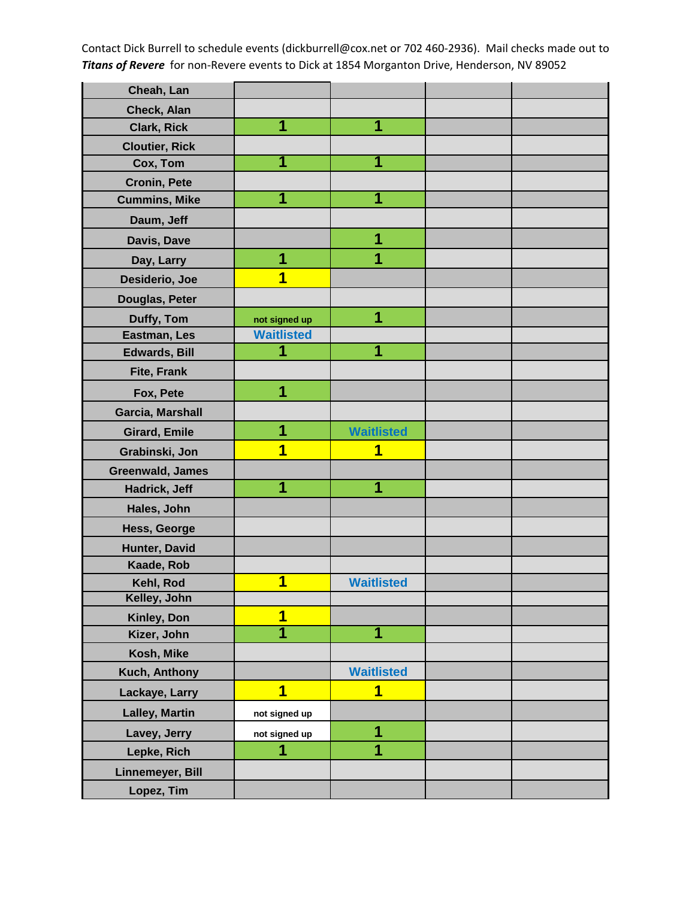| Cheah, Lan            |                   |                         |  |
|-----------------------|-------------------|-------------------------|--|
| Check, Alan           |                   |                         |  |
| <b>Clark, Rick</b>    | 1                 | 1                       |  |
| <b>Cloutier, Rick</b> |                   |                         |  |
| Cox, Tom              | 1                 |                         |  |
| <b>Cronin, Pete</b>   |                   |                         |  |
| <b>Cummins, Mike</b>  | 1                 | 1                       |  |
| Daum, Jeff            |                   |                         |  |
| Davis, Dave           |                   | 1                       |  |
| Day, Larry            | 1                 | 1                       |  |
| Desiderio, Joe        | 1                 |                         |  |
| Douglas, Peter        |                   |                         |  |
| Duffy, Tom            | not signed up     | 1                       |  |
| Eastman, Les          | <b>Waitlisted</b> |                         |  |
| <b>Edwards, Bill</b>  | 1                 | 1                       |  |
| <b>Fite, Frank</b>    |                   |                         |  |
| Fox, Pete             | 1                 |                         |  |
| Garcia, Marshall      |                   |                         |  |
| <b>Girard, Emile</b>  | 1                 | <b>Waitlisted</b>       |  |
| Grabinski, Jon        | 1                 | 1                       |  |
| Greenwald, James      |                   |                         |  |
| Hadrick, Jeff         | 1                 | 1                       |  |
| Hales, John           |                   |                         |  |
| Hess, George          |                   |                         |  |
| Hunter, David         |                   |                         |  |
| Kaade, Rob            |                   |                         |  |
| Kehl, Rod             | 1                 | <b>Waitlisted</b>       |  |
| Kelley, John          |                   |                         |  |
| Kinley, Don           | 1                 |                         |  |
| Kizer, John           | 1                 | $\overline{\mathbf{1}}$ |  |
| Kosh, Mike            |                   |                         |  |
| Kuch, Anthony         |                   | <b>Waitlisted</b>       |  |
| Lackaye, Larry        | 1                 | 1                       |  |
| <b>Lalley, Martin</b> | not signed up     |                         |  |
| Lavey, Jerry          | not signed up     | 1                       |  |
| Lepke, Rich           | 1                 | 1                       |  |
| Linnemeyer, Bill      |                   |                         |  |
| Lopez, Tim            |                   |                         |  |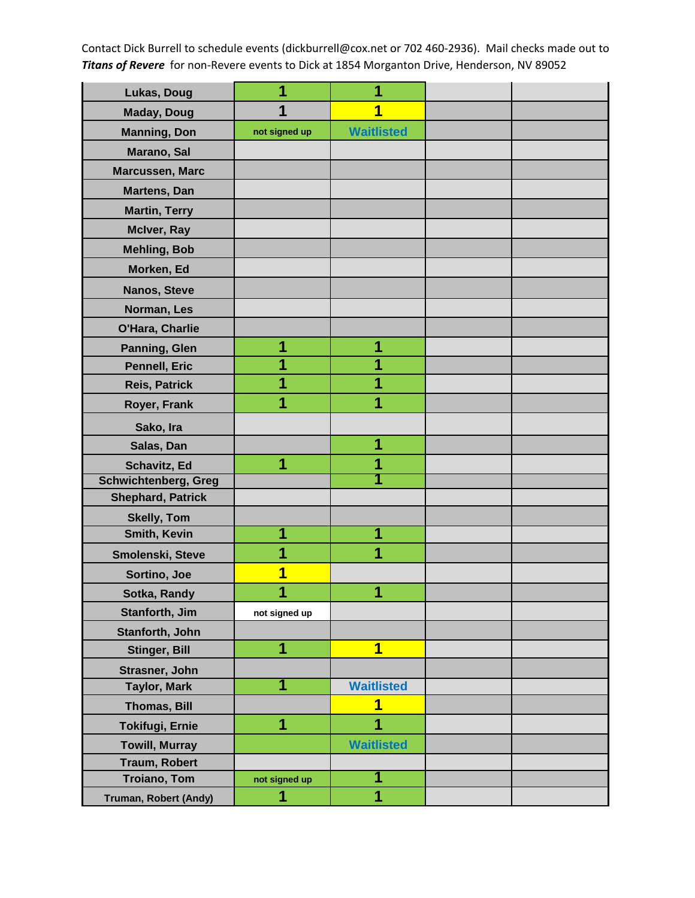| Lukas, Doug                 | 1             | 1                       |  |
|-----------------------------|---------------|-------------------------|--|
| <b>Maday, Doug</b>          | 1             | 1                       |  |
| <b>Manning, Don</b>         | not signed up | <b>Waitlisted</b>       |  |
| Marano, Sal                 |               |                         |  |
| Marcussen, Marc             |               |                         |  |
| Martens, Dan                |               |                         |  |
| <b>Martin, Terry</b>        |               |                         |  |
| McIver, Ray                 |               |                         |  |
| <b>Mehling, Bob</b>         |               |                         |  |
| Morken, Ed                  |               |                         |  |
| Nanos, Steve                |               |                         |  |
| Norman, Les                 |               |                         |  |
| O'Hara, Charlie             |               |                         |  |
| Panning, Glen               | 1             | 1                       |  |
| Pennell, Eric               | 1             |                         |  |
| <b>Reis, Patrick</b>        | 1             | 1                       |  |
| Royer, Frank                | 1             | 1                       |  |
| Sako, Ira                   |               |                         |  |
| Salas, Dan                  |               | 1                       |  |
| Schavitz, Ed                | 1             | 1                       |  |
| <b>Schwichtenberg, Greg</b> |               |                         |  |
| <b>Shephard, Patrick</b>    |               |                         |  |
| <b>Skelly, Tom</b>          |               |                         |  |
| Smith, Kevin                | 1             | 1                       |  |
| Smolenski, Steve            | 1             | 1                       |  |
| Sortino, Joe                | 1             |                         |  |
| Sotka, Randy                | A             | Æ                       |  |
| Stanforth, Jim              | not signed up |                         |  |
| Stanforth, John             |               |                         |  |
| Stinger, Bill               | 1             | $\overline{\mathbf{1}}$ |  |
| Strasner, John              |               |                         |  |
| <b>Taylor, Mark</b>         | 1             | <b>Waitlisted</b>       |  |
| <b>Thomas, Bill</b>         |               | 1                       |  |
| <b>Tokifugi, Ernie</b>      | 1             | 1                       |  |
| <b>Towill, Murray</b>       |               | <b>Waitlisted</b>       |  |
| <b>Traum, Robert</b>        |               |                         |  |
| <b>Troiano, Tom</b>         | not signed up | 1                       |  |
| Truman, Robert (Andy)       | 1             | 1                       |  |